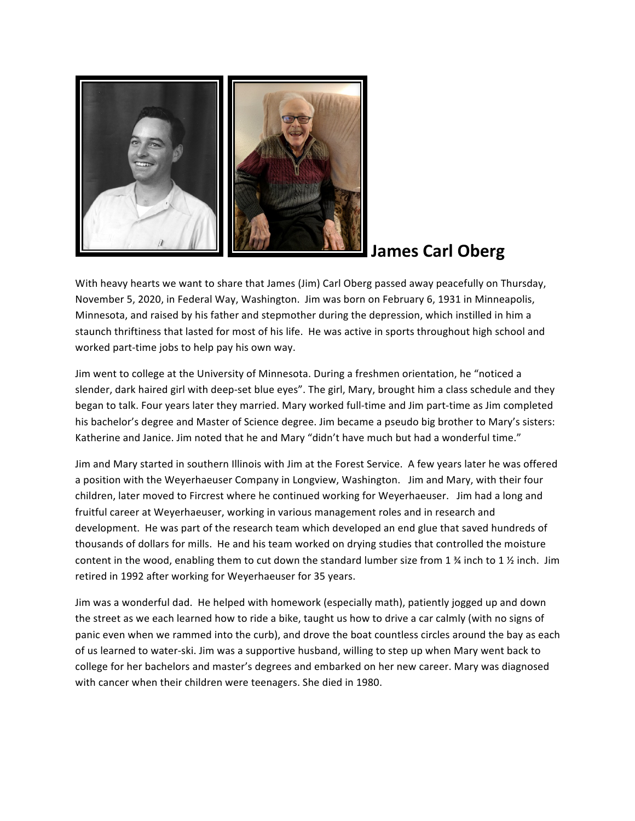

## **James Carl Oberg**

With heavy hearts we want to share that James (Jim) Carl Oberg passed away peacefully on Thursday, November 5, 2020, in Federal Way, Washington. Jim was born on February 6, 1931 in Minneapolis, Minnesota, and raised by his father and stepmother during the depression, which instilled in him a staunch thriftiness that lasted for most of his life. He was active in sports throughout high school and worked part-time jobs to help pay his own way.

Jim went to college at the University of Minnesota. During a freshmen orientation, he "noticed a slender, dark haired girl with deep-set blue eyes". The girl, Mary, brought him a class schedule and they began to talk. Four years later they married. Mary worked full-time and Jim part-time as Jim completed his bachelor's degree and Master of Science degree. Jim became a pseudo big brother to Mary's sisters: Katherine and Janice. Jim noted that he and Mary "didn't have much but had a wonderful time."

Jim and Mary started in southern Illinois with Jim at the Forest Service. A few years later he was offered a position with the Weyerhaeuser Company in Longview, Washington. Jim and Mary, with their four children, later moved to Fircrest where he continued working for Weyerhaeuser. Jim had a long and fruitful career at Weyerhaeuser, working in various management roles and in research and development. He was part of the research team which developed an end glue that saved hundreds of thousands of dollars for mills. He and his team worked on drying studies that controlled the moisture content in the wood, enabling them to cut down the standard lumber size from 1  $\frac{3}{4}$  inch to 1  $\frac{1}{2}$  inch. Jim retired in 1992 after working for Weyerhaeuser for 35 years.

Jim was a wonderful dad. He helped with homework (especially math), patiently jogged up and down the street as we each learned how to ride a bike, taught us how to drive a car calmly (with no signs of panic even when we rammed into the curb), and drove the boat countless circles around the bay as each of us learned to water-ski. Jim was a supportive husband, willing to step up when Mary went back to college for her bachelors and master's degrees and embarked on her new career. Mary was diagnosed with cancer when their children were teenagers. She died in 1980.